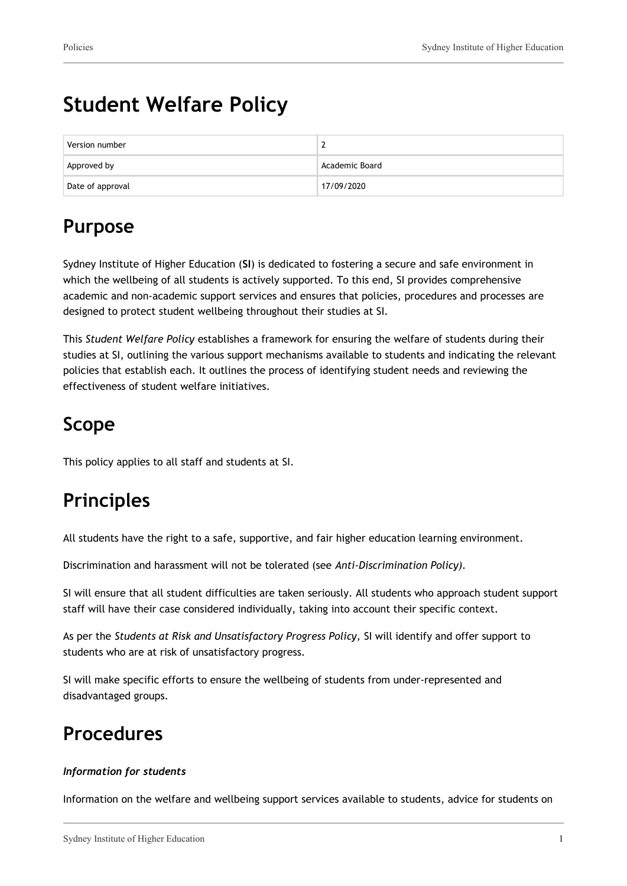# **Student Welfare Policy**

| Version number   |                |
|------------------|----------------|
| Approved by      | Academic Board |
| Date of approval | 17/09/2020     |

## **Purpose**

Sydney Institute of Higher Education (**SI**) is dedicated to fostering a secure and safe environment in which the wellbeing of all students is actively supported. To this end, SI provides comprehensive academic and non-academic support services and ensures that policies, procedures and processes are designed to protect student wellbeing throughout their studies at SI.

This *Student Welfare Policy* establishes a framework for ensuring the welfare of students during their studies at SI, outlining the various support mechanisms available to students and indicating the relevant policies that establish each. It outlines the process of identifying student needs and reviewing the effectiveness of student welfare initiatives.

### **Scope**

This policy applies to all staff and students at SI.

## **Principles**

All students have the right to a safe, supportive, and fair higher education learning environment.

Discrimination and harassment will not be tolerated (see *Anti-Discrimination Policy).*

SI will ensure that all student difficulties are taken seriously. All students who approach student support staff will have their case considered individually, taking into account their specific context.

As per the *Students at Risk and Unsatisfactory Progress Policy,* SI will identify and offer support to students who are at risk of unsatisfactory progress.

SI will make specific efforts to ensure the wellbeing of students from under-represented and disadvantaged groups.

### **Procedures**

#### *Information for students*

Information on the welfare and wellbeing support services available to students, advice for students on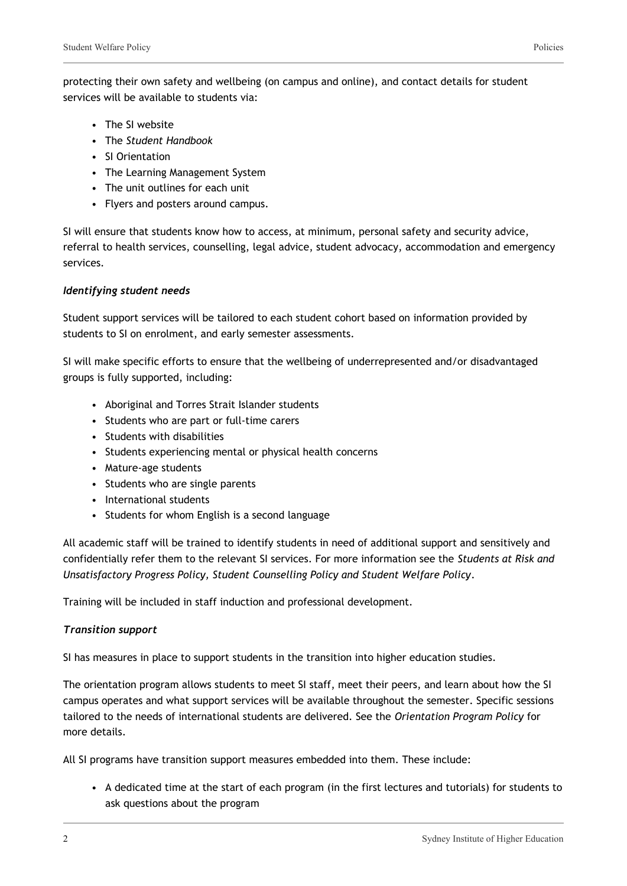- The SI website
- The *Student Handbook*
- SI Orientation
- The Learning Management System
- The unit outlines for each unit
- Flyers and posters around campus.

SI will ensure that students know how to access, at minimum, personal safety and security advice, referral to health services, counselling, legal advice, student advocacy, accommodation and emergency services.

#### *Identifying student needs*

Student support services will be tailored to each student cohort based on information provided by students to SI on enrolment, and early semester assessments.

SI will make specific efforts to ensure that the wellbeing of underrepresented and/or disadvantaged groups is fully supported, including:

- Aboriginal and Torres Strait Islander students
- Students who are part or full-time carers
- Students with disabilities
- Students experiencing mental or physical health concerns
- Mature-age students
- Students who are single parents
- International students
- Students for whom English is a second language

All academic staff will be trained to identify students in need of additional support and sensitively and confidentially refer them to the relevant SI services. For more information see the *Students at Risk and Unsatisfactory Progress Policy, Student Counselling Policy and Student Welfare Policy*.

Training will be included in staff induction and professional development.

#### *Transition support*

SI has measures in place to support students in the transition into higher education studies.

The orientation program allows students to meet SI staff, meet their peers, and learn about how the SI campus operates and what support services will be available throughout the semester. Specific sessions tailored to the needs of international students are delivered. See the *Orientation Program Policy* for more details.

All SI programs have transition support measures embedded into them. These include:

• A dedicated time at the start of each program (in the first lectures and tutorials) for students to ask questions about the program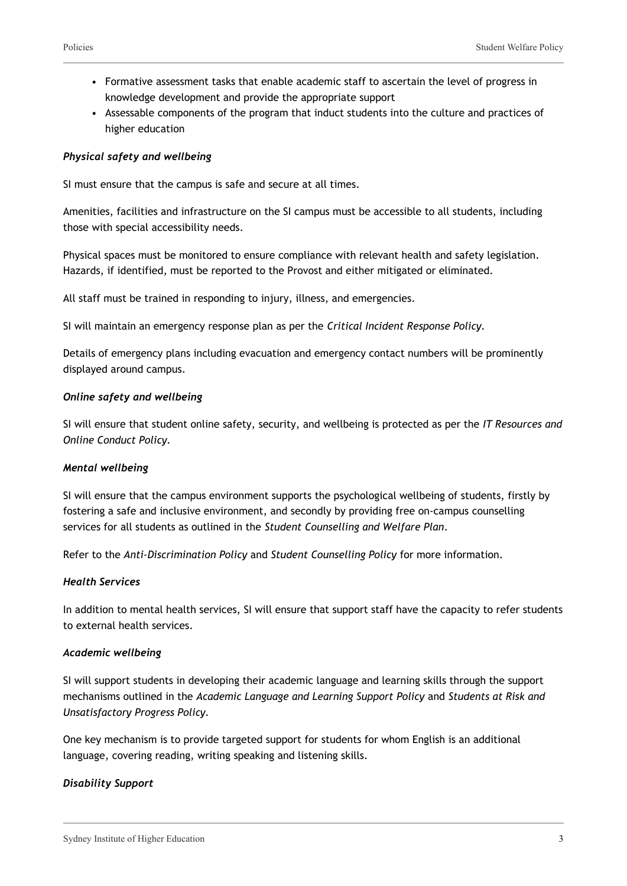- Formative assessment tasks that enable academic staff to ascertain the level of progress in knowledge development and provide the appropriate support
- Assessable components of the program that induct students into the culture and practices of higher education

#### *Physical safety and wellbeing*

SI must ensure that the campus is safe and secure at all times.

Amenities, facilities and infrastructure on the SI campus must be accessible to all students, including those with special accessibility needs.

Physical spaces must be monitored to ensure compliance with relevant health and safety legislation. Hazards, if identified, must be reported to the Provost and either mitigated or eliminated.

All staff must be trained in responding to injury, illness, and emergencies.

SI will maintain an emergency response plan as per the *Critical Incident Response Policy.*

Details of emergency plans including evacuation and emergency contact numbers will be prominently displayed around campus.

#### *Online safety and wellbeing*

SI will ensure that student online safety, security, and wellbeing is protected as per the *IT Resources and Online Conduct Policy.*

#### *Mental wellbeing*

SI will ensure that the campus environment supports the psychological wellbeing of students, firstly by fostering a safe and inclusive environment, and secondly by providing free on-campus counselling services for all students as outlined in the *Student Counselling and Welfare Plan*.

Refer to the *Anti-Discrimination Policy* and *Student Counselling Policy* for more information.

#### *Health Services*

In addition to mental health services, SI will ensure that support staff have the capacity to refer students to external health services.

#### *Academic wellbeing*

SI will support students in developing their academic language and learning skills through the support mechanisms outlined in the *Academic Language and Learning Support Policy* and *Students at Risk and Unsatisfactory Progress Policy.*

One key mechanism is to provide targeted support for students for whom English is an additional language, covering reading, writing speaking and listening skills.

#### *Disability Support*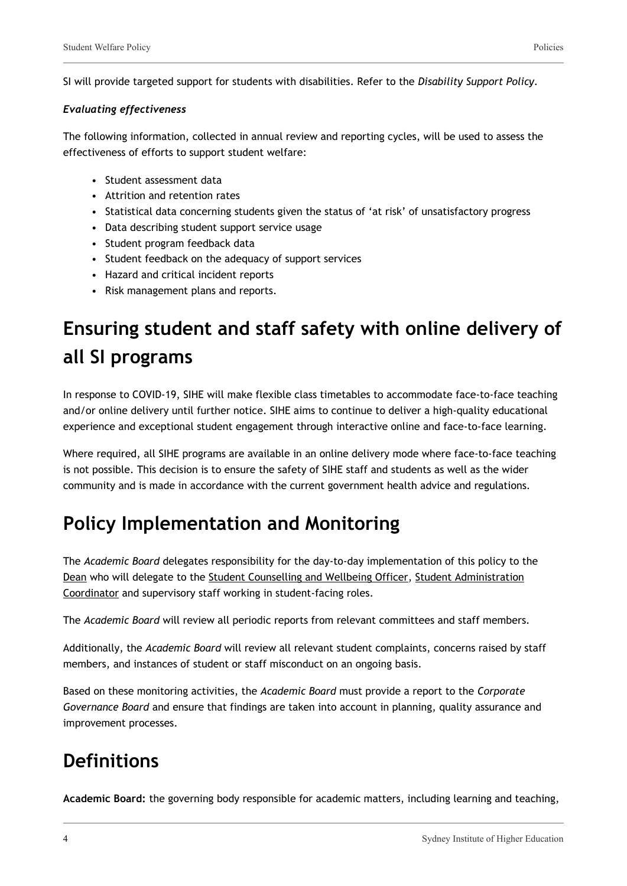SI will provide targeted support for students with disabilities. Refer to the *Disability Support Policy.*

#### *Evaluating effectiveness*

The following information, collected in annual review and reporting cycles, will be used to assess the effectiveness of efforts to support student welfare:

- Student assessment data
- Attrition and retention rates
- Statistical data concerning students given the status of 'at risk' of unsatisfactory progress
- Data describing student support service usage
- Student program feedback data
- Student feedback on the adequacy of support services
- Hazard and critical incident reports
- Risk management plans and reports.

# **Ensuring student and staff safety with online delivery of all SI programs**

In response to COVID-19, SIHE will make flexible class timetables to accommodate face-to-face teaching and/or online delivery until further notice. SIHE aims to continue to deliver a high-quality educational experience and exceptional student engagement through interactive online and face-to-face learning.

Where required, all SIHE programs are available in an online delivery mode where face-to-face teaching is not possible. This decision is to ensure the safety of SIHE staff and students as well as the wider community and is made in accordance with the current government health advice and regulations.

### **Policy Implementation and Monitoring**

The *Academic Board* delegates responsibility for the day-to-day implementation of this policy to the Dean who will delegate to the Student Counselling and Wellbeing Officer, Student Administration Coordinator and supervisory staff working in student-facing roles.

The *Academic Board* will review all periodic reports from relevant committees and staff members.

Additionally, the *Academic Board* will review all relevant student complaints, concerns raised by staff members, and instances of student or staff misconduct on an ongoing basis.

Based on these monitoring activities, the *Academic Board* must provide a report to the *Corporate Governance Board* and ensure that findings are taken into account in planning, quality assurance and improvement processes.

### **Definitions**

**Academic Board:** the governing body responsible for academic matters, including learning and teaching,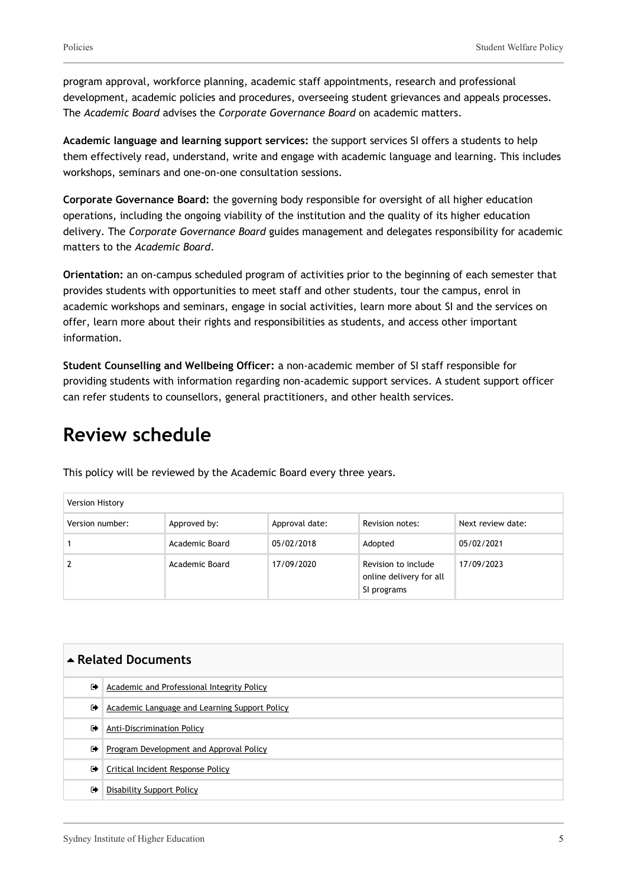program approval, workforce planning, academic staff appointments, research and professional development, academic policies and procedures, overseeing student grievances and appeals processes. The *Academic Board* advises the *Corporate Governance Board* on academic matters.

**Academic language and learning support services:** the support services SI offers a students to help them effectively read, understand, write and engage with academic language and learning. This includes workshops, seminars and one-on-one consultation sessions.

**Corporate Governance Board:** the governing body responsible for oversight of all higher education operations, including the ongoing viability of the institution and the quality of its higher education delivery. The *Corporate Governance Board* guides management and delegates responsibility for academic matters to the *Academic Board*.

**Orientation:** an on-campus scheduled program of activities prior to the beginning of each semester that provides students with opportunities to meet staff and other students, tour the campus, enrol in academic workshops and seminars, engage in social activities, learn more about SI and the services on offer, learn more about their rights and responsibilities as students, and access other important information.

**Student Counselling and Wellbeing Officer:** a non-academic member of SI staff responsible for providing students with information regarding non-academic support services. A student support officer can refer students to counsellors, general practitioners, and other health services.

### **Review schedule**

| Version History |                |                |                                                               |                   |
|-----------------|----------------|----------------|---------------------------------------------------------------|-------------------|
| Version number: | Approved by:   | Approval date: | Revision notes:                                               | Next review date: |
|                 | Academic Board | 05/02/2018     | Adopted                                                       | 05/02/2021        |
|                 | Academic Board | 17/09/2020     | Revision to include<br>online delivery for all<br>SI programs | 17/09/2023        |

This policy will be reviewed by the Academic Board every three years.

| ▲ Related Documents  |                                               |  |
|----------------------|-----------------------------------------------|--|
| $\ddot{\phantom{1}}$ | Academic and Professional Integrity Policy    |  |
| ☞                    | Academic Language and Learning Support Policy |  |
| $\ddot{\phantom{1}}$ | <b>Anti-Discrimination Policy</b>             |  |
| $\bullet$            | Program Development and Approval Policy       |  |
| ☞                    | Critical Incident Response Policy             |  |
| $\bullet$            | <b>Disability Support Policy</b>              |  |
|                      |                                               |  |